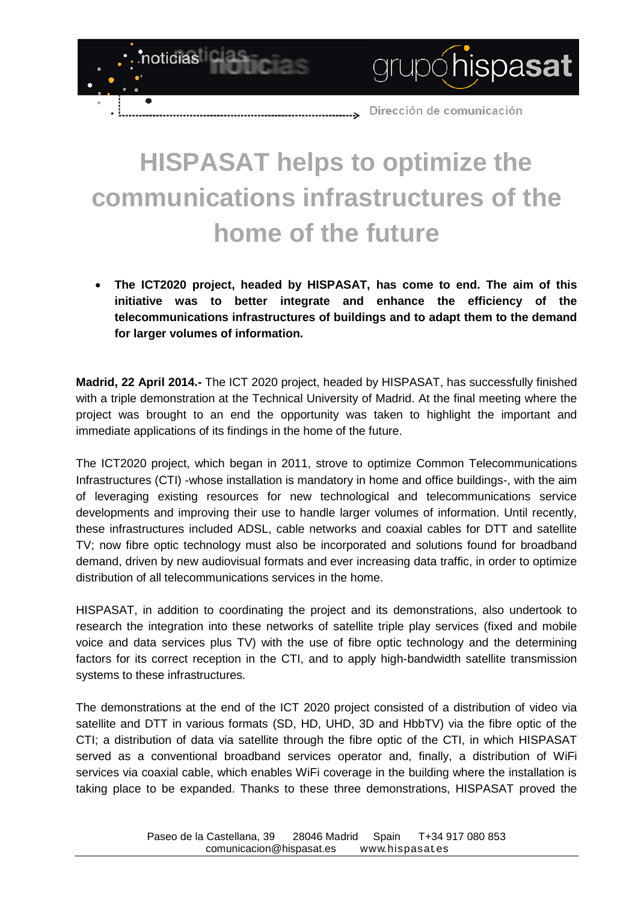Dirección de comunicación  $\rightarrow$ 

grupóhispasat

## **HISPASAT helps to optimize the communications infrastructures of the home of the future**

noticias

 $\epsilon$ 

• **The ICT2020 project, headed by HISPASAT, has come to end. The aim of this initiative was to better integrate and enhance the efficiency of the telecommunications infrastructures of buildings and to adapt them to the demand for larger volumes of information.**

**Madrid, 22 April 2014.-** The ICT 2020 project, headed by HISPASAT, has successfully finished with a triple demonstration at the Technical University of Madrid. At the final meeting where the project was brought to an end the opportunity was taken to highlight the important and immediate applications of its findings in the home of the future.

The ICT2020 project, which began in 2011, strove to optimize Common Telecommunications Infrastructures (CTI) -whose installation is mandatory in home and office buildings-, with the aim of leveraging existing resources for new technological and telecommunications service developments and improving their use to handle larger volumes of information. Until recently, these infrastructures included ADSL, cable networks and coaxial cables for DTT and satellite TV; now fibre optic technology must also be incorporated and solutions found for broadband demand, driven by new audiovisual formats and ever increasing data traffic, in order to optimize distribution of all telecommunications services in the home.

HISPASAT, in addition to coordinating the project and its demonstrations, also undertook to research the integration into these networks of satellite triple play services (fixed and mobile voice and data services plus TV) with the use of fibre optic technology and the determining factors for its correct reception in the CTI, and to apply high-bandwidth satellite transmission systems to these infrastructures.

The demonstrations at the end of the ICT 2020 project consisted of a distribution of video via satellite and DTT in various formats (SD, HD, UHD, 3D and HbbTV) via the fibre optic of the CTI; a distribution of data via satellite through the fibre optic of the CTI, in which HISPASAT served as a conventional broadband services operator and, finally, a distribution of WiFi services via coaxial cable, which enables WiFi coverage in the building where the installation is taking place to be expanded. Thanks to these three demonstrations, HISPASAT proved the